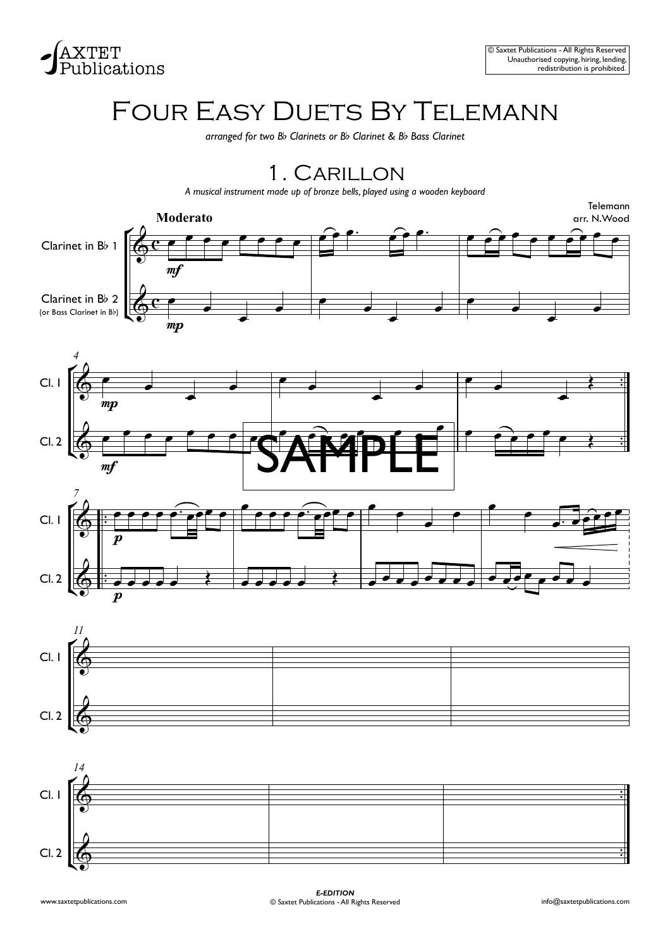

# FOUR EASY DUETS BY TELEMANN

*arranged for two B*b *Clarinets or B*b *Clarinet & B*b *Bass Clarinet*

### 1 . Carillon

*A musical instrument made up of bronze bells, played using a wooden keyboard*









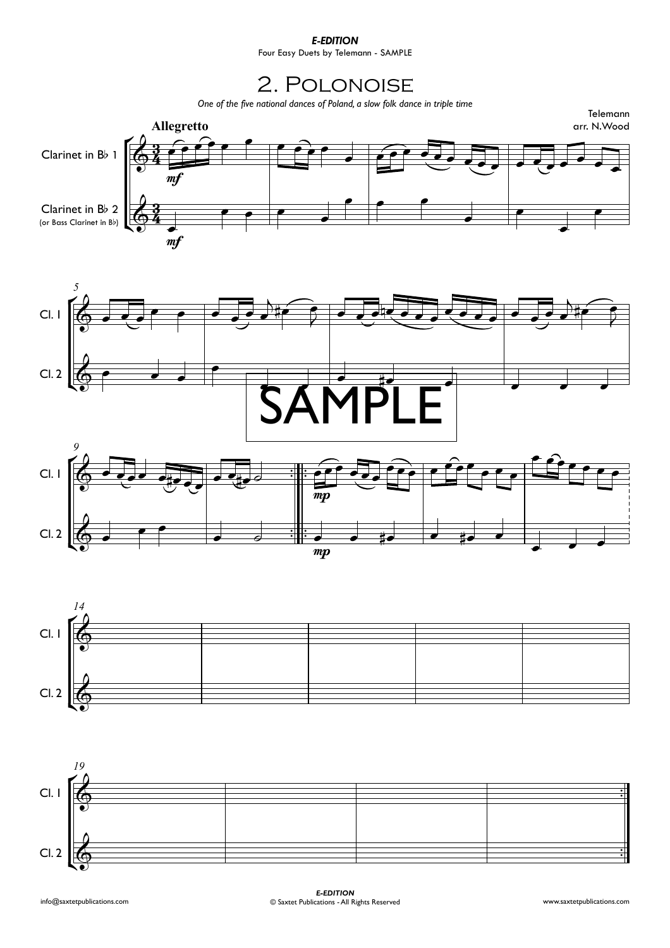### *E-EDITION*

Four Easy Duets by Telemann - SAMPLE

### 2. Polonoise









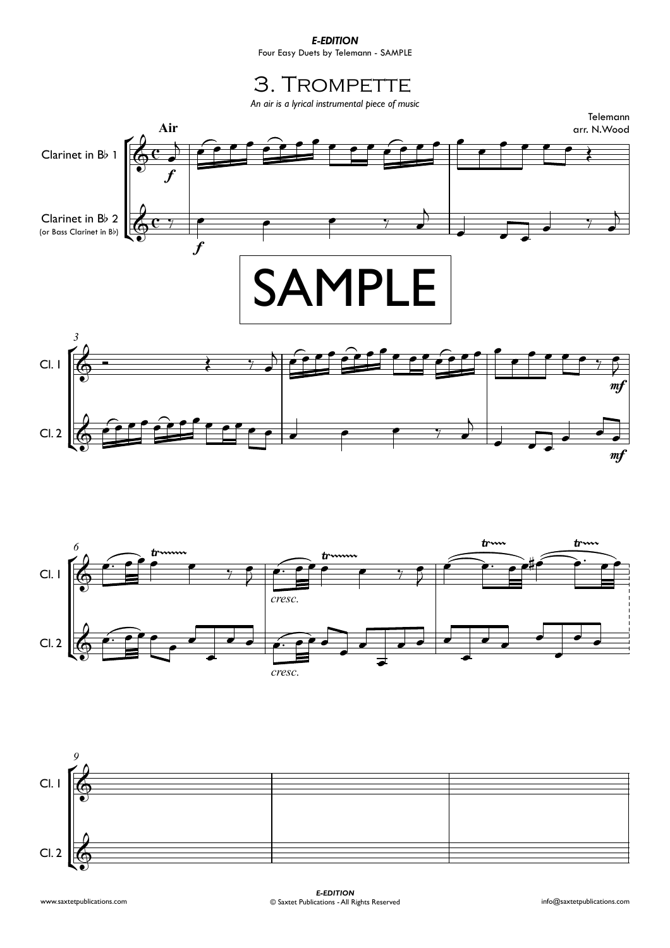#### *E-EDITION*

Four Easy Duets by Telemann - SAMPLE

### 3. TROMPETTE

*An air is a lyrical instrumental piece of music*